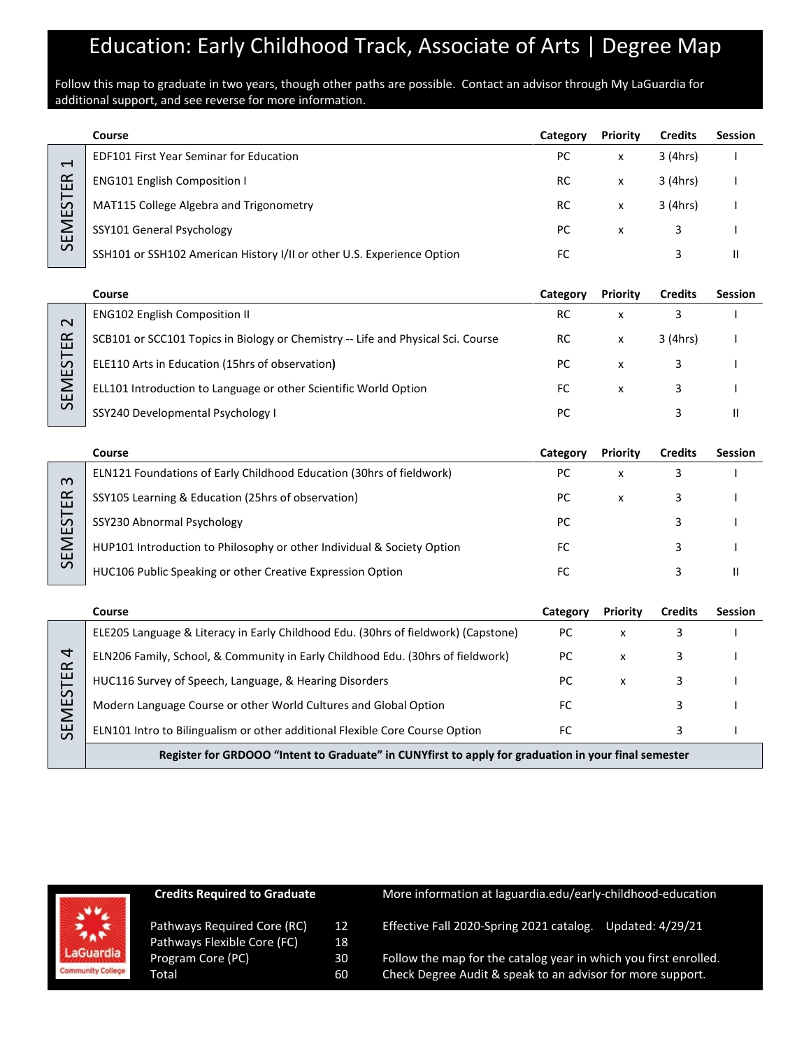## Education: Early Childhood Track, Associate of Arts | Degree Map

Follow this map to graduate in two years, though other paths are possible. Contact an advisor through My LaGuardia for additional support, and see reverse for more information.

|                                                                              | Course                                                                 | Category | <b>Priority</b> | <b>Credits</b> | <b>Session</b> |
|------------------------------------------------------------------------------|------------------------------------------------------------------------|----------|-----------------|----------------|----------------|
| $\overline{\phantom{0}}$<br>$\propto$<br>ш<br>57<br>ய்<br>Σ<br>ш<br>$\Omega$ | <b>EDF101 First Year Seminar for Education</b>                         | PC       | x               | 3 (4hrs)       |                |
|                                                                              | <b>ENG101 English Composition I</b>                                    | RC       | x               | 3 (4hrs)       |                |
|                                                                              | MAT115 College Algebra and Trigonometry                                | RC       | x               | 3 (4hrs)       |                |
|                                                                              | SSY101 General Psychology                                              | PC       | x               |                |                |
|                                                                              | SSH101 or SSH102 American History I/II or other U.S. Experience Option | FC       |                 |                |                |

|                    | Course                                                                           | Categorv | <b>Priority</b> | <b>Credits</b> | <b>Session</b> |
|--------------------|----------------------------------------------------------------------------------|----------|-----------------|----------------|----------------|
| $\sim$             | <b>ENG102 English Composition II</b>                                             | RC       |                 |                |                |
| $\propto$<br>Ш     | SCB101 or SCC101 Topics in Biology or Chemistry -- Life and Physical Sci. Course | RC       | x               | 3 (4hrs)       |                |
| 57<br>ш            | ELE110 Arts in Education (15hrs of observation)                                  | РC       | x               |                |                |
| Σ<br>ш<br>$\Omega$ | ELL101 Introduction to Language or other Scientific World Option                 | FC       | x               |                |                |
|                    | SSY240 Developmental Psychology I                                                | РC       |                 |                |                |

|          | Course                                                                      | Category | <b>Priority</b> | <b>Credits</b> | <b>Session</b> |
|----------|-----------------------------------------------------------------------------|----------|-----------------|----------------|----------------|
| ന        | <b>ELN121 Foundations of Early Childhood Education (30hrs of fieldwork)</b> | РC       | x               |                |                |
| ≃<br>ш   | SSY105 Learning & Education (25hrs of observation)                          | PC.      | X               |                |                |
| S.<br>ய் | SSY230 Abnormal Psychology                                                  | PC       |                 |                |                |
| ш        | HUP101 Introduction to Philosophy or other Individual & Society Option      | FC       |                 |                |                |
| S        | HUC106 Public Speaking or other Creative Expression Option                  | FC       |                 |                |                |

|                            | Course                                                                                               | Category | Priority | <b>Credits</b> | <b>Session</b> |
|----------------------------|------------------------------------------------------------------------------------------------------|----------|----------|----------------|----------------|
|                            | ELE205 Language & Literacy in Early Childhood Edu. (30hrs of fieldwork) (Capstone)                   | РC       | x        |                |                |
| $\overline{a}$<br>$\alpha$ | ELN206 Family, School, & Community in Early Childhood Edu. (30hrs of fieldwork)                      | РC       | x        |                |                |
| ш                          | HUC116 Survey of Speech, Language, & Hearing Disorders                                               | PС       | x        |                |                |
| $\mathcal{L}$<br>ш         | Modern Language Course or other World Cultures and Global Option                                     | FC       |          |                |                |
| ш<br>$\Omega$              | ELN101 Intro to Bilingualism or other additional Flexible Core Course Option                         | FC       |          |                |                |
|                            | Register for GRDOOO "Intent to Graduate" in CUNYfirst to apply for graduation in your final semester |          |          |                |                |

|                          | Credits Required to Graduate |    |
|--------------------------|------------------------------|----|
|                          | Pathways Required Core (RC)  | 12 |
|                          | Pathways Flexible Core (FC)  | 18 |
| LaGuardia                | Program Core (PC)            | 30 |
| <b>Community College</b> | Total                        | 60 |

**Co Graduate** More information at laguardia.edu/early-childhood-education

Core (RC) 12 Effective Fall 2020-Spring 2021 catalog. Updated: 4/29/21

Follow the map for the catalog year in which you first enrolled. Check Degree Audit & speak to an advisor for more support.